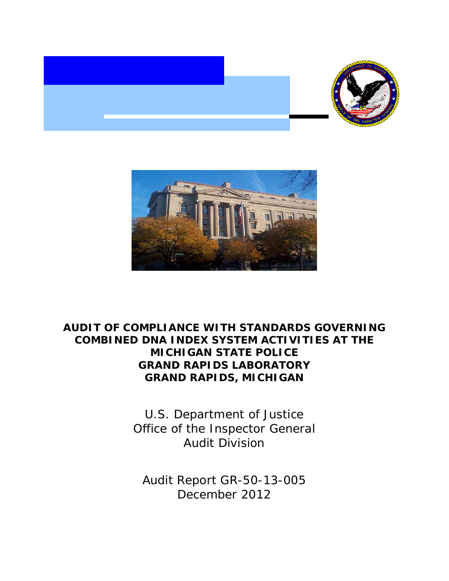



# **COMBINED DNA INDEX SYSTEM ACTIVITIES AT THE GRAND RAPIDS LABORATORY GRAND RAPIDS, MICHIGAN AUDIT OF COMPLIANCE WITH STANDARDS GOVERNING MICHIGAN STATE POLICE**

 Office of the Inspector General U.S. Department of Justice Audit Division

 Audit Report GR-50-13-005 December 2012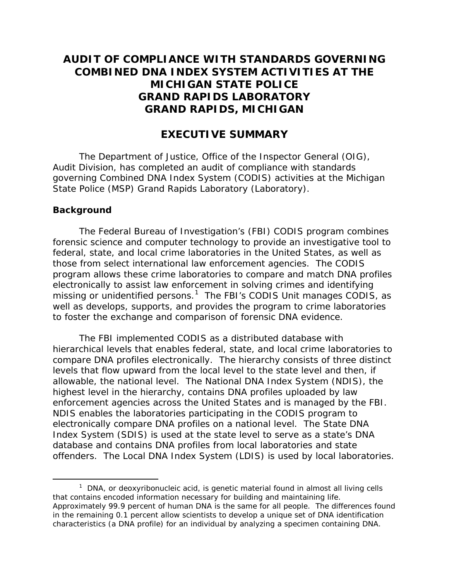# **COMBINED DNA INDEX SYSTEM ACTIVITIES AT THE GRAND RAPIDS LABORATORY GRAND RAPIDS, MICHIGAN AUDIT OF COMPLIANCE WITH STANDARDS GOVERNING MICHIGAN STATE POLICE**

# **EXECUTIVE SUMMARY**

The Department of Justice, Office of the Inspector General (OIG), Audit Division, has completed an audit of compliance with standards governing Combined DNA Index System (CODIS) activities at the Michigan State Police (MSP) Grand Rapids Laboratory (Laboratory).

#### **Background**

Ì,

 federal, state, and local crime laboratories in the United States, as well as those from select international law enforcement agencies. The CODIS program allows these crime laboratories to compare and match DNA profiles missing or unidentified persons.<sup>1</sup> The FBI's CODIS Unit manages CODIS, as The Federal Bureau of Investigation's (FBI) CODIS program combines forensic science and computer technology to provide an investigative tool to electronically to assist law enforcement in solving crimes and identifying well as develops, supports, and provides the program to crime laboratories to foster the exchange and comparison of forensic DNA evidence.

 levels that flow upward from the local level to the state level and then, if offenders. The Local DNA Index System (LDIS) is used by local laboratories. The FBI implemented CODIS as a distributed database with hierarchical levels that enables federal, state, and local crime laboratories to compare DNA profiles electronically. The hierarchy consists of three distinct allowable, the national level. The National DNA Index System (NDIS), the highest level in the hierarchy, contains DNA profiles uploaded by law enforcement agencies across the United States and is managed by the FBI. NDIS enables the laboratories participating in the CODIS program to electronically compare DNA profiles on a national level. The State DNA Index System (SDIS) is used at the state level to serve as a state's DNA database and contains DNA profiles from local laboratories and state

<span id="page-1-0"></span> that contains encoded information necessary for building and maintaining life. Approximately 99.9 percent of human DNA is the same for all people. The differences found in the remaining 0.1 percent allow scientists to develop a unique set of DNA identification characteristics (a DNA profile) for an individual by analyzing a specimen containing DNA.  $1$  DNA, or deoxyribonucleic acid, is genetic material found in almost all living cells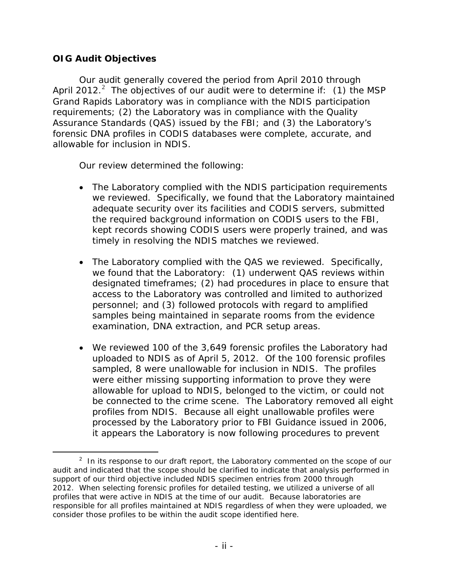#### **OIG Audit Objectives**

 Our audit generally covered the period from April 2010 through April [2](#page-2-0)012. $^2$  The objectives of our audit were to determine if: (1) the MSP Grand Rapids Laboratory was in compliance with the NDIS participation allowable for inclusion in NDIS. requirements; (2) the Laboratory was in compliance with the Quality Assurance Standards (QAS) issued by the FBI; and (3) the Laboratory's forensic DNA profiles in CODIS databases were complete, accurate, and

Our review determined the following:

- The Laboratory complied with the NDIS participation requirements we reviewed. Specifically, we found that the Laboratory maintained adequate security over its facilities and CODIS servers, submitted the required background information on CODIS users to the FBI, kept records showing CODIS users were properly trained, and was timely in resolving the NDIS matches we reviewed.
- personnel; and (3) followed protocols with regard to amplified examination, DNA extraction, and PCR setup areas. • The Laboratory complied with the QAS we reviewed. Specifically, we found that the Laboratory: (1) underwent QAS reviews within designated timeframes; (2) had procedures in place to ensure that access to the Laboratory was controlled and limited to authorized samples being maintained in separate rooms from the evidence
- uploaded to NDIS as of April 5, 2012. Of the 100 forensic profiles sampled, 8 were unallowable for inclusion in NDIS. The profiles profiles from NDIS. Because all eight unallowable profiles were • We reviewed 100 of the 3,649 forensic profiles the Laboratory had were either missing supporting information to prove they were allowable for upload to NDIS, belonged to the victim, or could not be connected to the crime scene. The Laboratory removed all eight processed by the Laboratory prior to FBI Guidance issued in 2006, it appears the Laboratory is now following procedures to prevent

<span id="page-2-0"></span><sup>-</sup> $2$  In its response to our draft report, the Laboratory commented on the scope of our audit and indicated that the scope should be clarified to indicate that analysis performed in support of our third objective included NDIS specimen entries from 2000 through 2012. When selecting forensic profiles for detailed testing, we utilized a universe of all profiles that were active in NDIS at the time of our audit. Because laboratories are responsible for all profiles maintained at NDIS regardless of when they were uploaded, we consider those profiles to be within the audit scope identified here.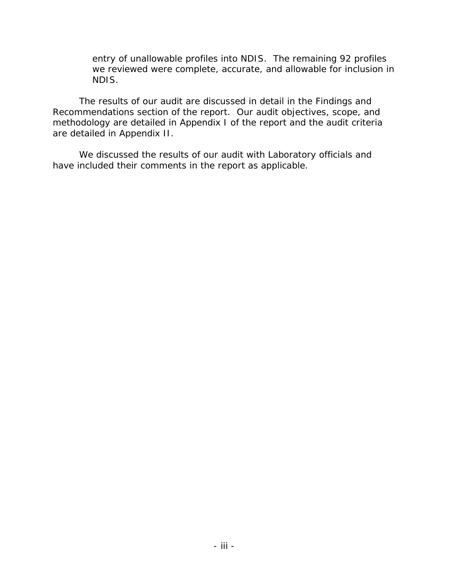entry of unallowable profiles into NDIS. The remaining 92 profiles we reviewed were complete, accurate, and allowable for inclusion in NDIS.

 are detailed in Appendix II. The results of our audit are discussed in detail in the Findings and Recommendations section of the report. Our audit objectives, scope, and methodology are detailed in Appendix I of the report and the audit criteria

have included their comments in the report as applicable. We discussed the results of our audit with Laboratory officials and have included their comments in the report as applicable.<br>
- iii -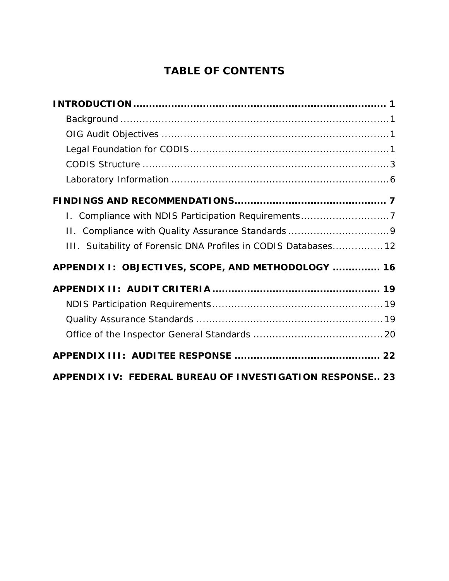# **TABLE OF CONTENTS**

| 1. Compliance with NDIS Participation Requirements7             |
|-----------------------------------------------------------------|
|                                                                 |
| III. Suitability of Forensic DNA Profiles in CODIS Databases 12 |
| APPENDIX I: OBJECTIVES, SCOPE, AND METHODOLOGY  16              |
|                                                                 |
|                                                                 |
|                                                                 |
|                                                                 |
|                                                                 |
| APPENDIX IV: FEDERAL BUREAU OF INVESTIGATION RESPONSE 23        |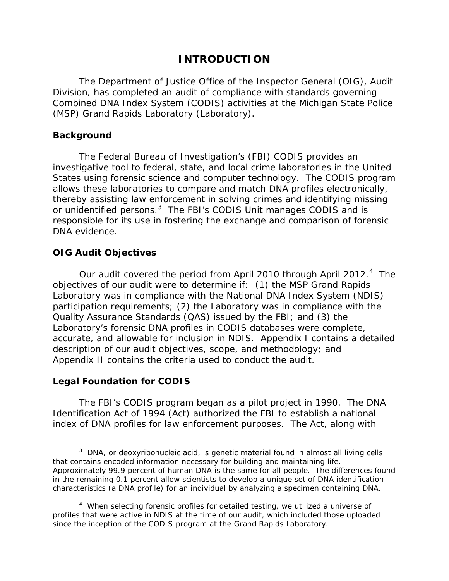# **INTRODUCTION**

 (MSP) Grand Rapids Laboratory (Laboratory). The Department of Justice Office of the Inspector General (OIG), Audit Division, has completed an audit of compliance with standards governing Combined DNA Index System (CODIS) activities at the Michigan State Police

#### <span id="page-5-0"></span>**Background**

or unidentified persons.<sup>3</sup> The FBI's CODIS Unit manages CODIS and is The Federal Bureau of Investigation's (FBI) CODIS provides an investigative tool to federal, state, and local crime laboratories in the United States using forensic science and computer technology. The CODIS program allows these laboratories to compare and match DNA profiles electronically, thereby assisting law enforcement in solving crimes and identifying missing responsible for its use in fostering the exchange and comparison of forensic DNA evidence.

#### <span id="page-5-1"></span>**OIG Audit Objectives**

Our audit covered the period from April 2010 through April 2012.<sup>4</sup> The Laboratory was in compliance with the National DNA Index System (NDIS) participation requirements; (2) the Laboratory was in compliance with the Quality Assurance Standards (QAS) issued by the FBI; and (3) the accurate, and allowable for inclusion in NDIS. Appendix I contains a detailed objectives of our audit were to determine if: (1) the MSP Grand Rapids Laboratory's forensic DNA profiles in CODIS databases were complete, description of our audit objectives, scope, and methodology; and Appendix II contains the criteria used to conduct the audit.

#### <span id="page-5-2"></span>**Legal Foundation for CODIS**

-

The FBI's CODIS program began as a pilot project in 1990. The DNA Identification Act of 1994 (Act) authorized the FBI to establish a national index of DNA profiles for law enforcement purposes. The Act, along with

<span id="page-5-3"></span> that contains encoded information necessary for building and maintaining life. Approximately 99.9 percent of human DNA is the same for all people. The differences found in the remaining 0.1 percent allow scientists to develop a unique set of DNA identification characteristics (a DNA profile) for an individual by analyzing a specimen containing DNA. <sup>3</sup> DNA, or deoxyribonucleic acid, is genetic material found in almost all living cells

<span id="page-5-4"></span> $4$  When selecting forensic profiles for detailed testing, we utilized a universe of profiles that were active in NDIS at the time of our audit, which included those uploaded since the inception of the CODIS program at the Grand Rapids Laboratory.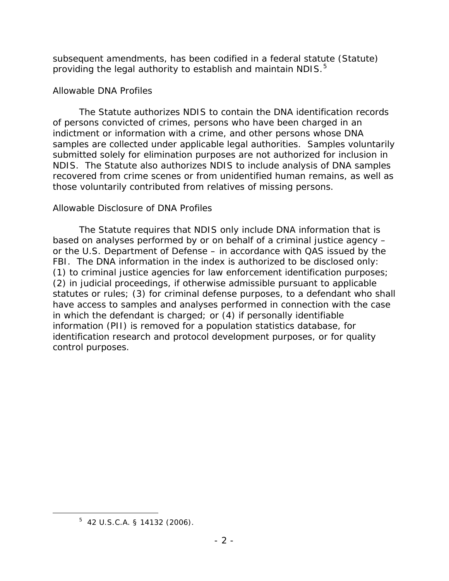providing the legal authority to establish and maintain NDIS.<sup>5</sup> subsequent amendments, has been codified in a federal statute (Statute)

#### *Allowable DNA Profiles*

 NDIS. The Statute also authorizes NDIS to include analysis of DNA samples The Statute authorizes NDIS to contain the DNA identification records of persons convicted of crimes, persons who have been charged in an indictment or information with a crime, and other persons whose DNA samples are collected under applicable legal authorities. Samples voluntarily submitted solely for elimination purposes are not authorized for inclusion in recovered from crime scenes or from unidentified human remains, as well as those voluntarily contributed from relatives of missing persons.

#### *Allowable Disclosure of DNA Profiles*

 or the U.S. Department of Defense – in accordance with QAS issued by the FBI. The DNA information in the index is authorized to be disclosed only: control purposes. The Statute requires that NDIS only include DNA information that is based on analyses performed by or on behalf of a criminal justice agency – (1) to criminal justice agencies for law enforcement identification purposes; (2) in judicial proceedings, if otherwise admissible pursuant to applicable statutes or rules; (3) for criminal defense purposes, to a defendant who shall have access to samples and analyses performed in connection with the case in which the defendant is charged; or (4) if personally identifiable information (PII) is removed for a population statistics database, for identification research and protocol development purposes, or for quality control purposes. 5 42 U.S.C.A. § 14132 (2006).

<span id="page-6-0"></span>Ì,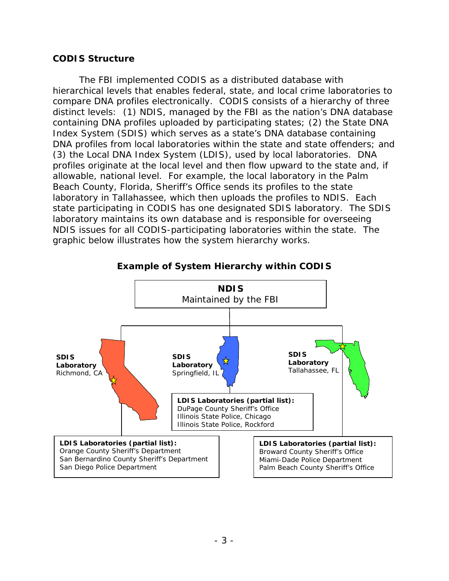#### <span id="page-7-0"></span>**CODIS Structure**

 compare DNA profiles electronically. CODIS consists of a hierarchy of three distinct levels: (1) NDIS, managed by the FBI as the nation's DNA database containing DNA profiles uploaded by participating states; (2) the State DNA Index System (SDIS) which serves as a state's DNA database containing (3) the Local DNA Index System (LDIS), used by local laboratories. DNA profiles originate at the local level and then flow upward to the state and, if allowable, national level. For example, the local laboratory in the Palm graphic below illustrates how the system hierarchy works. The FBI implemented CODIS as a distributed database with hierarchical levels that enables federal, state, and local crime laboratories to DNA profiles from local laboratories within the state and state offenders; and Beach County, Florida, Sheriff's Office sends its profiles to the state laboratory in Tallahassee, which then uploads the profiles to NDIS. Each state participating in CODIS has one designated SDIS laboratory. The SDIS laboratory maintains its own database and is responsible for overseeing NDIS issues for all CODIS-participating laboratories within the state. The



**Example of System Hierarchy within CODIS**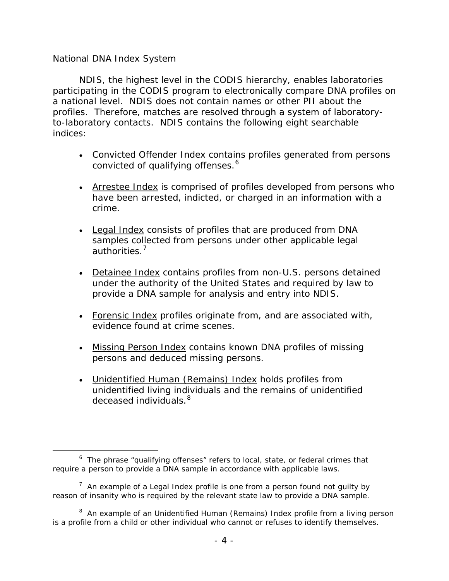#### *National DNA Index System*

 participating in the CODIS program to electronically compare DNA profiles on to-laboratory contacts. NDIS contains the following eight searchable indices: NDIS, the highest level in the CODIS hierarchy, enables laboratories a national level. NDIS does not contain names or other PII about the profiles. Therefore, matches are resolved through a system of laboratory-

- convicted of qualifying offenses.<sup>6</sup> • Convicted Offender Index contains profiles generated from persons
- Arrestee Index is comprised of profiles developed from persons who have been arrested, indicted, or charged in an information with a crime.
- Legal Index consists of profiles that are produced from DNA samples collected from persons under other applicable legal authorities.<sup>[7](#page-8-1)</sup>
- provide a DNA sample for analysis and entry into NDIS. • Detainee Index contains profiles from non-U.S. persons detained under the authority of the United States and required by law to
- evidence found at crime scenes. • Forensic Index profiles originate from, and are associated with,
- persons and deduced missing persons. • Missing Person Index contains known DNA profiles of missing
- deceased individuals.<sup>[8](#page-8-2)</sup> • Unidentified Human (Remains) Index holds profiles from unidentified living individuals and the remains of unidentified

<span id="page-8-0"></span>Ì, require a person to provide a DNA sample in accordance with applicable laws.  $6$  The phrase "qualifying offenses" refers to local, state, or federal crimes that

<span id="page-8-1"></span> $7$  An example of a Legal Index profile is one from a person found not guilty by reason of insanity who is required by the relevant state law to provide a DNA sample.

<span id="page-8-2"></span><sup>&</sup>lt;sup>8</sup> An example of an Unidentified Human (Remains) Index profile from a living person is a profile from a child or other individual who cannot or refuses to identify themselves.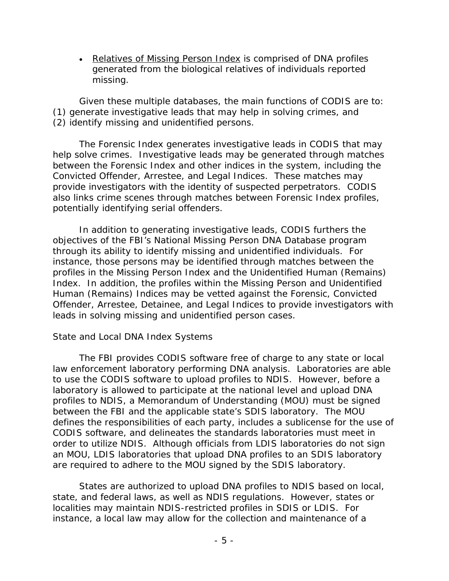missing. • Relatives of Missing Person Index is comprised of DNA profiles generated from the biological relatives of individuals reported

(2) identify missing and unidentified persons. Given these multiple databases, the main functions of CODIS are to: (1) generate investigative leads that may help in solving crimes, and

 (2) identify missing and unidentified persons. The Forensic Index generates investigative leads in CODIS that may help solve crimes. Investigative leads may be generated through matches between the Forensic Index and other indices in the system, including the Convicted Offender, Arrestee, and Legal Indices. These matches may provide investigators with the identity of suspected perpetrators. CODIS also links crime scenes through matches between Forensic Index profiles, potentially identifying serial offenders.

 Index. In addition, the profiles within the Missing Person and Unidentified leads in solving missing and unidentified person cases. In addition to generating investigative leads, CODIS furthers the objectives of the FBI's National Missing Person DNA Database program through its ability to identify missing and unidentified individuals. For instance, those persons may be identified through matches between the profiles in the Missing Person Index and the Unidentified Human (Remains) Human (Remains) Indices may be vetted against the Forensic, Convicted Offender, Arrestee, Detainee, and Legal Indices to provide investigators with

#### *State and Local DNA Index Systems*

 profiles to NDIS, a Memorandum of Understanding (MOU) must be signed defines the responsibilities of each party, includes a sublicense for the use of are required to adhere to the MOU signed by the SDIS laboratory. The FBI provides CODIS software free of charge to any state or local law enforcement laboratory performing DNA analysis. Laboratories are able to use the CODIS software to upload profiles to NDIS. However, before a laboratory is allowed to participate at the national level and upload DNA between the FBI and the applicable state's SDIS laboratory. The MOU CODIS software, and delineates the standards laboratories must meet in order to utilize NDIS. Although officials from LDIS laboratories do not sign an MOU, LDIS laboratories that upload DNA profiles to an SDIS laboratory

 state, and federal laws, as well as NDIS regulations. However, states or localities may maintain NDIS-restricted profiles in SDIS or LDIS. For States are authorized to upload DNA profiles to NDIS based on local, instance, a local law may allow for the collection and maintenance of a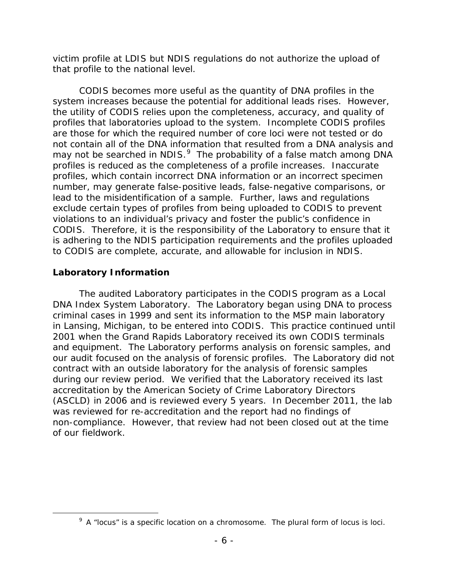that profile to the national level. victim profile at LDIS but NDIS regulations do not authorize the upload of

 system increases because the potential for additional leads rises. However, profiles that laboratories upload to the system. Incomplete CODIS profiles not contain all of the DNA information that resulted from a DNA analysis and may not be searched in NDIS. $^{9}$  The probability of a false match among DNA profiles is reduced as the completeness of a profile increases. Inaccurate CODIS becomes more useful as the quantity of DNA profiles in the the utility of CODIS relies upon the completeness, accuracy, and quality of are those for which the required number of core loci were not tested or do profiles, which contain incorrect DNA information or an incorrect specimen number, may generate false-positive leads, false-negative comparisons, or lead to the misidentification of a sample. Further, laws and regulations exclude certain types of profiles from being uploaded to CODIS to prevent violations to an individual's privacy and foster the public's confidence in CODIS. Therefore, it is the responsibility of the Laboratory to ensure that it is adhering to the NDIS participation requirements and the profiles uploaded to CODIS are complete, accurate, and allowable for inclusion in NDIS.

# <span id="page-10-0"></span>**Laboratory Information**

<span id="page-10-1"></span>l

 The audited Laboratory participates in the CODIS program as a Local accreditation by the American Society of Crime Laboratory Directors DNA Index System Laboratory. The Laboratory began using DNA to process criminal cases in 1999 and sent its information to the MSP main laboratory in Lansing, Michigan, to be entered into CODIS. This practice continued until 2001 when the Grand Rapids Laboratory received its own CODIS terminals and equipment. The Laboratory performs analysis on forensic samples, and our audit focused on the analysis of forensic profiles. The Laboratory did not contract with an outside laboratory for the analysis of forensic samples during our review period. We verified that the Laboratory received its last (ASCLD) in 2006 and is reviewed every 5 years. In December 2011, the lab was reviewed for re-accreditation and the report had no findings of non-compliance. However, that review had not been closed out at the time of our fieldwork.

 $9$  A "locus" is a specific location on a chromosome. The plural form of locus is loci.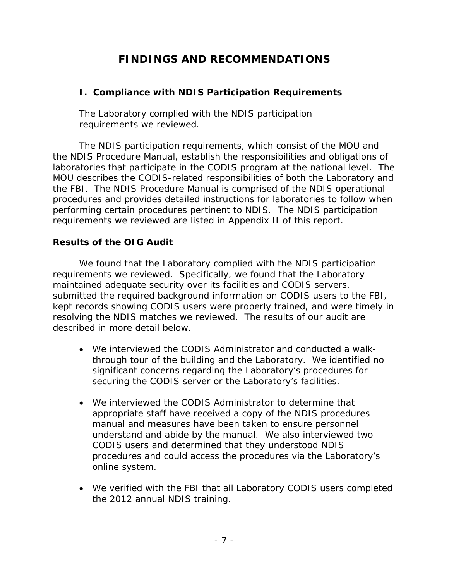# **FINDINGS AND RECOMMENDATIONS**

## <span id="page-11-1"></span><span id="page-11-0"></span>**I. Compliance with NDIS Participation Requirements**

The Laboratory complied with the NDIS participation requirements we reviewed.

 laboratories that participate in the CODIS program at the national level. The requirements we reviewed are listed in Appendix II of this report. The NDIS participation requirements, which consist of the MOU and the NDIS Procedure Manual, establish the responsibilities and obligations of MOU describes the CODIS-related responsibilities of both the Laboratory and the FBI. The NDIS Procedure Manual is comprised of the NDIS operational procedures and provides detailed instructions for laboratories to follow when performing certain procedures pertinent to NDIS. The NDIS participation

## **Results of the OIG Audit**

 requirements we reviewed. Specifically, we found that the Laboratory resolving the NDIS matches we reviewed. The results of our audit are We found that the Laboratory complied with the NDIS participation maintained adequate security over its facilities and CODIS servers, submitted the required background information on CODIS users to the FBI, kept records showing CODIS users were properly trained, and were timely in described in more detail below.

- through tour of the building and the Laboratory. We identified no • We interviewed the CODIS Administrator and conducted a walksignificant concerns regarding the Laboratory's procedures for securing the CODIS server or the Laboratory's facilities.
- We interviewed the CODIS Administrator to determine that appropriate staff have received a copy of the NDIS procedures manual and measures have been taken to ensure personnel understand and abide by the manual. We also interviewed two CODIS users and determined that they understood NDIS procedures and could access the procedures via the Laboratory's online system.
- the 2012 annual NDIS training. • We verified with the FBI that all Laboratory CODIS users completed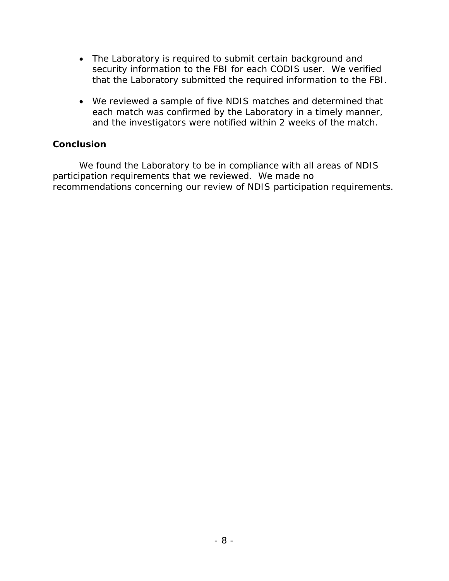- The Laboratory is required to submit certain background and security information to the FBI for each CODIS user. We verified that the Laboratory submitted the required information to the FBI.
- We reviewed a sample of five NDIS matches and determined that each match was confirmed by the Laboratory in a timely manner, and the investigators were notified within 2 weeks of the match.

#### **Conclusion**

 We found the Laboratory to be in compliance with all areas of NDIS recommendations concerning our review of NDIS participation requirements. participation requirements that we reviewed. We made no recommendations concerning our review of NDIS participation requirements.<br>- 8 -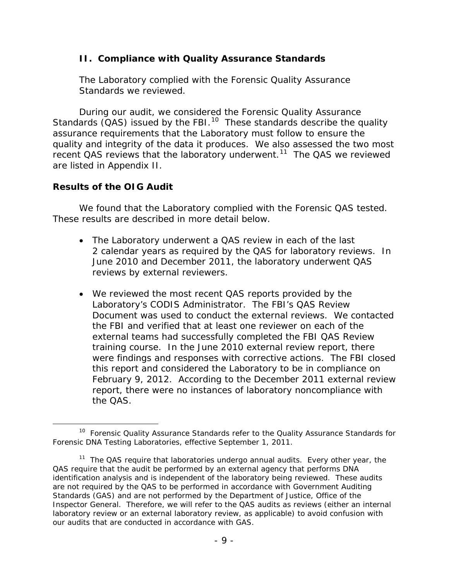#### <span id="page-13-0"></span>**II. Compliance with Quality Assurance Standards**

The Laboratory complied with the Forensic Quality Assurance Standards we reviewed.

 quality and integrity of the data it produces. We also assessed the two most recent QAS reviews that the laboratory underwent.<sup>[11](#page-13-2)</sup> The QAS we reviewed are listed in Appendix II. During our audit, we considered the Forensic Quality Assurance Standards ( $QAS$ ) issued by the FBI.<sup>10</sup> These standards describe the quality assurance requirements that the Laboratory must follow to ensure the

#### **Results of the OIG Audit**

 We found that the Laboratory complied with the Forensic QAS tested. These results are described in more detail below.

- The Laboratory underwent a QAS review in each of the last reviews by external reviewers. 2 calendar years as required by the QAS for laboratory reviews. In June 2010 and December 2011, the laboratory underwent QAS
- training course. In the June 2010 external review report, there this report and considered the Laboratory to be in compliance on February 9, 2012. According to the December 2011 external review • We reviewed the most recent QAS reports provided by the Laboratory's CODIS Administrator. The FBI's QAS Review Document was used to conduct the external reviews. We contacted the FBI and verified that at least one reviewer on each of the external teams had successfully completed the FBI QAS Review were findings and responses with corrective actions. The FBI closed report, there were no instances of laboratory noncompliance with the QAS.

<span id="page-13-1"></span><sup>-</sup><sup>10</sup> Forensic Quality Assurance Standards refer to the Quality Assurance Standards for Forensic DNA Testing Laboratories, effective September 1, 2011.

<span id="page-13-2"></span><sup>&</sup>lt;sup>11</sup> The QAS require that laboratories undergo annual audits. Every other year, the QAS require that the audit be performed by an external agency that performs DNA identification analysis and is independent of the laboratory being reviewed. These audits are not required by the QAS to be performed in accordance with Government Auditing Standards (GAS) and are not performed by the Department of Justice, Office of the Inspector General. Therefore, we will refer to the QAS audits as reviews (either an internal laboratory review or an external laboratory review, as applicable) to avoid confusion with our audits that are conducted in accordance with GAS.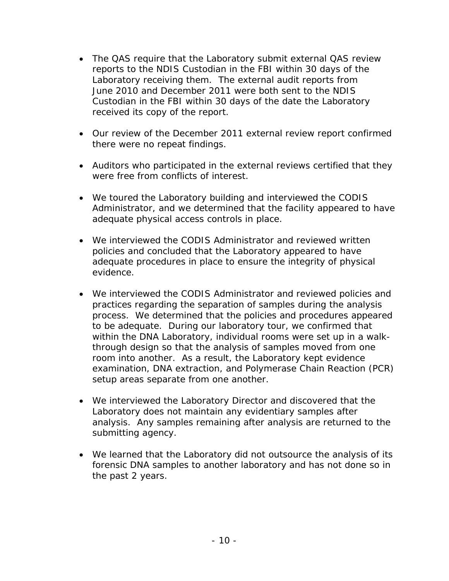- reports to the NDIS Custodian in the FBI within 30 days of the Laboratory receiving them. The external audit reports from Custodian in the FBI within 30 days of the date the Laboratory received its copy of the report. • The QAS require that the Laboratory submit external QAS review June 2010 and December 2011 were both sent to the NDIS
- Our review of the December 2011 external review report confirmed there were no repeat findings.
- Auditors who participated in the external reviews certified that they were free from conflicts of interest.
- We toured the Laboratory building and interviewed the CODIS Administrator, and we determined that the facility appeared to have adequate physical access controls in place.
- adequate procedures in place to ensure the integrity of physical • We interviewed the CODIS Administrator and reviewed written policies and concluded that the Laboratory appeared to have evidence.
- process. We determined that the policies and procedures appeared to be adequate. During our laboratory tour, we confirmed that room into another. As a result, the Laboratory kept evidence • We interviewed the CODIS Administrator and reviewed policies and practices regarding the separation of samples during the analysis within the DNA Laboratory, individual rooms were set up in a walkthrough design so that the analysis of samples moved from one examination, DNA extraction, and Polymerase Chain Reaction (PCR) setup areas separate from one another.
- analysis. Any samples remaining after analysis are returned to the submitting agency. • We interviewed the Laboratory Director and discovered that the Laboratory does not maintain any evidentiary samples after
- We learned that the Laboratory did not outsource the analysis of its the past 2 years. forensic DNA samples to another laboratory and has not done so in the past 2 years.<br>- 10 -<br>- 10 -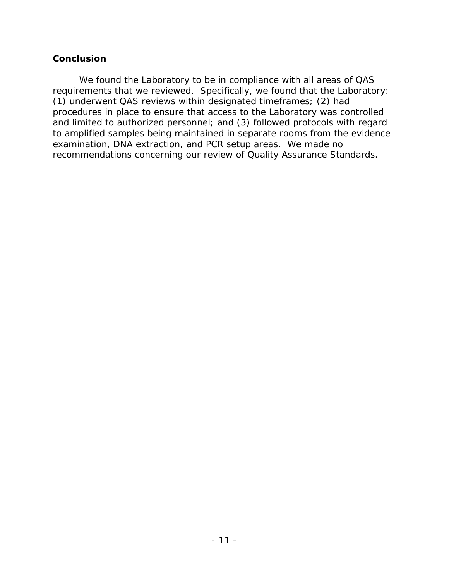#### **Conclusion**

 We found the Laboratory to be in compliance with all areas of QAS requirements that we reviewed. Specifically, we found that the Laboratory: (1) underwent QAS reviews within designated timeframes; (2) had and limited to authorized personnel; and (3) followed protocols with regard examination, DNA extraction, and PCR setup areas. We made no procedures in place to ensure that access to the Laboratory was controlled to amplified samples being maintained in separate rooms from the evidence recommendations concerning our review of Quality Assurance Standards.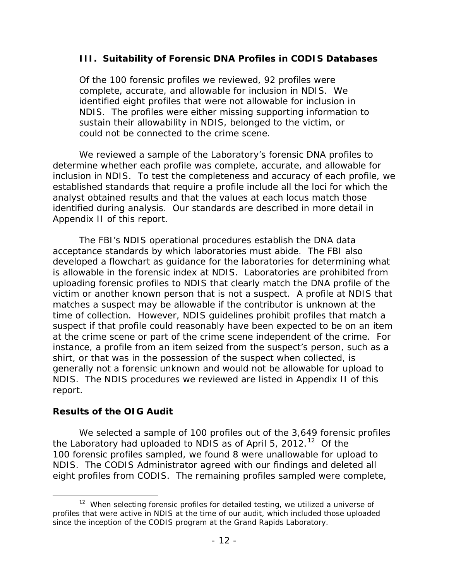#### <span id="page-16-0"></span> **III. Suitability of Forensic DNA Profiles in CODIS Databases**

 NDIS. The profiles were either missing supporting information to could not be connected to the crime scene. Of the 100 forensic profiles we reviewed, 92 profiles were complete, accurate, and allowable for inclusion in NDIS. We identified eight profiles that were not allowable for inclusion in sustain their allowability in NDIS, belonged to the victim, or

 established standards that require a profile include all the loci for which the We reviewed a sample of the Laboratory's forensic DNA profiles to determine whether each profile was complete, accurate, and allowable for inclusion in NDIS. To test the completeness and accuracy of each profile, we analyst obtained results and that the values at each locus match those identified during analysis. Our standards are described in more detail in Appendix II of this report.

 acceptance standards by which laboratories must abide. The FBI also is allowable in the forensic index at NDIS. Laboratories are prohibited from victim or another known person that is not a suspect. A profile at NDIS that time of collection. However, NDIS guidelines prohibit profiles that match a at the crime scene or part of the crime scene independent of the crime. For NDIS. The NDIS procedures we reviewed are listed in Appendix II of this report. The FBI's NDIS operational procedures establish the DNA data developed a flowchart as guidance for the laboratories for determining what uploading forensic profiles to NDIS that clearly match the DNA profile of the matches a suspect may be allowable if the contributor is unknown at the suspect if that profile could reasonably have been expected to be on an item instance, a profile from an item seized from the suspect's person, such as a shirt, or that was in the possession of the suspect when collected, is generally not a forensic unknown and would not be allowable for upload to

#### **Results of the OIG Audit**

the Laboratory had uploaded to NDIS as of April 5, 2012.<sup>12</sup> Of the NDIS. The CODIS Administrator agreed with our findings and deleted all eight profiles from CODIS. The remaining profiles sampled were complete, We selected a sample of 100 profiles out of the 3,649 forensic profiles 100 forensic profiles sampled, we found 8 were unallowable for upload to

<span id="page-16-1"></span>l profiles that were active in NDIS at the time of our audit, which included those uploaded since the inception of the CODIS program at the Grand Rapids Laboratory. <sup>12</sup> When selecting forensic profiles for detailed testing, we utilized a universe of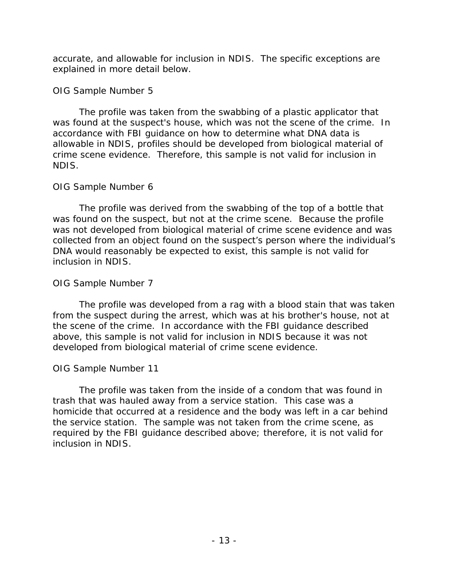accurate, and allowable for inclusion in NDIS. The specific exceptions are explained in more detail below.

#### *OIG Sample Number 5*

 crime scene evidence. Therefore, this sample is not valid for inclusion in The profile was taken from the swabbing of a plastic applicator that was found at the suspect's house, which was not the scene of the crime. In accordance with FBI guidance on how to determine what DNA data is allowable in NDIS, profiles should be developed from biological material of NDIS.

## *OIG Sample Number 6*

 The profile was derived from the swabbing of the top of a bottle that was found on the suspect, but not at the crime scene. Because the profile was not developed from biological material of crime scene evidence and was collected from an object found on the suspect's person where the individual's DNA would reasonably be expected to exist, this sample is not valid for inclusion in NDIS.

## *OIG Sample Number 7*

 from the suspect during the arrest, which was at his brother's house, not at the scene of the crime. In accordance with the FBI guidance described The profile was developed from a rag with a blood stain that was taken above, this sample is not valid for inclusion in NDIS because it was not developed from biological material of crime scene evidence.

## *OIG Sample Number 11*

 trash that was hauled away from a service station. This case was a the service station. The sample was not taken from the crime scene, as The profile was taken from the inside of a condom that was found in homicide that occurred at a residence and the body was left in a car behind required by the FBI guidance described above; therefore, it is not valid for inclusion in NDIS.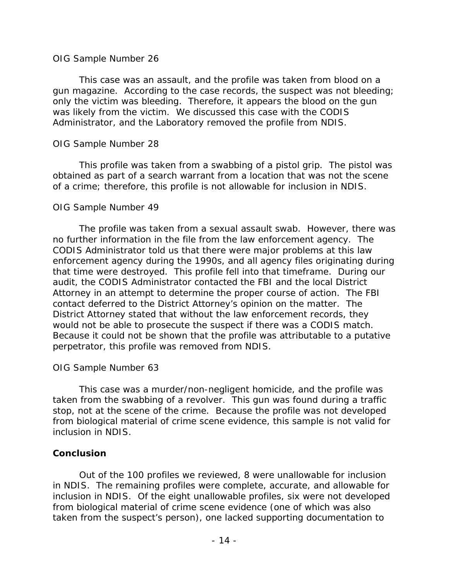#### *OIG Sample Number 26*

 gun magazine. According to the case records, the suspect was not bleeding; only the victim was bleeding. Therefore, it appears the blood on the gun Administrator, and the Laboratory removed the profile from NDIS. This case was an assault, and the profile was taken from blood on a was likely from the victim. We discussed this case with the CODIS

#### *OIG Sample Number 28*

 This profile was taken from a swabbing of a pistol grip. The pistol was obtained as part of a search warrant from a location that was not the scene of a crime; therefore, this profile is not allowable for inclusion in NDIS.

#### *OIG Sample Number 49*

 no further information in the file from the law enforcement agency. The that time were destroyed. This profile fell into that timeframe. During our audit, the CODIS Administrator contacted the FBI and the local District contact deferred to the District Attorney's opinion on the matter. The would not be able to prosecute the suspect if there was a CODIS match. The profile was taken from a sexual assault swab. However, there was CODIS Administrator told us that there were major problems at this law enforcement agency during the 1990s, and all agency files originating during Attorney in an attempt to determine the proper course of action. The FBI District Attorney stated that without the law enforcement records, they Because it could not be shown that the profile was attributable to a putative perpetrator, this profile was removed from NDIS.

## *OIG Sample Number 63*

 This case was a murder/non-negligent homicide, and the profile was taken from the swabbing of a revolver. This gun was found during a traffic stop, not at the scene of the crime. Because the profile was not developed from biological material of crime scene evidence, this sample is not valid for inclusion in NDIS.

## **Conclusion**

 Out of the 100 profiles we reviewed, 8 were unallowable for inclusion in NDIS. The remaining profiles were complete, accurate, and allowable for inclusion in NDIS. Of the eight unallowable profiles, six were not developed from biological material of crime scene evidence (one of which was also taken from the suspect's person), one lacked supporting documentation to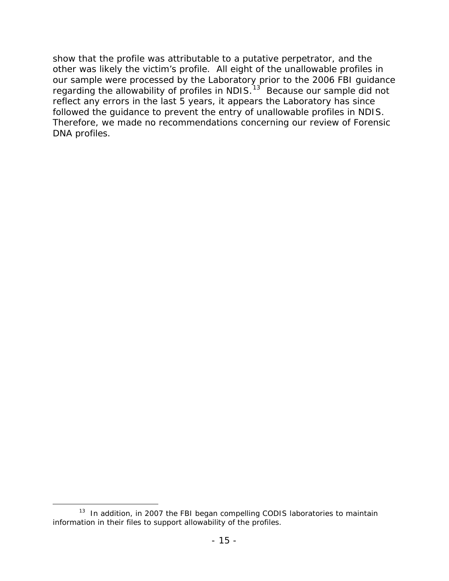other was likely the victim's profile. All eight of the unallowable profiles in reflect any errors in the last 5 years, it appears the Laboratory has since followed the guidance to prevent the entry of unallowable profiles in NDIS. show that the profile was attributable to a putative perpetrator, and the our sample were processed by the Laboratory prior to the 2006 FBI guidance regarding the allowability of profiles in NDIS.<sup>[13](#page-19-0)</sup> Because our sample did not Therefore, we made no recommendations concerning our review of Forensic DNA profiles.

<span id="page-19-0"></span><sup>-</sup> $13$  In addition, in 2007 the FBI began compelling CODIS laboratories to maintain information in their files to support allowability of the profiles.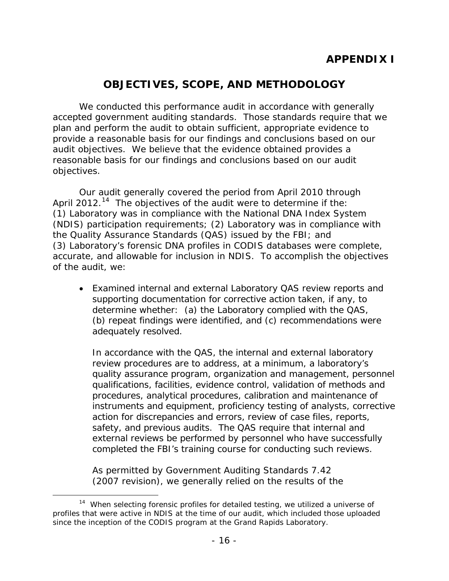# **OBJECTIVES, SCOPE, AND METHODOLOGY**

<span id="page-20-0"></span> reasonable basis for our findings and conclusions based on our audit objectives. We conducted this performance audit in accordance with generally accepted government auditing standards. Those standards require that we plan and perform the audit to obtain sufficient, appropriate evidence to provide a reasonable basis for our findings and conclusions based on our audit objectives. We believe that the evidence obtained provides a

objectives.<br>Our audit generally covered the period from April 2010 through April 2012.<sup>[14](#page-20-1)</sup> The objectives of the audit were to determine if the: accurate, and allowable for inclusion in NDIS. To accomplish the objectives (1) Laboratory was in compliance with the National DNA Index System (NDIS) participation requirements; (2) Laboratory was in compliance with the Quality Assurance Standards (QAS) issued by the FBI; and (3) Laboratory's forensic DNA profiles in CODIS databases were complete, of the audit, we:

 • Examined internal and external Laboratory QAS review reports and determine whether: (a) the Laboratory complied with the QAS, adequately resolved. supporting documentation for corrective action taken, if any, to (b) repeat findings were identified, and (c) recommendations were

 review procedures are to address, at a minimum, a laboratory's quality assurance program, organization and management, personnel action for discrepancies and errors, review of case files, reports, safety, and previous audits. The QAS require that internal and In accordance with the QAS, the internal and external laboratory qualifications, facilities, evidence control, validation of methods and procedures, analytical procedures, calibration and maintenance of instruments and equipment, proficiency testing of analysts, corrective external reviews be performed by personnel who have successfully completed the FBI's training course for conducting such reviews.

As permitted by Government Auditing Standards 7.42 (2007 revision), we generally relied on the results of the

<span id="page-20-1"></span>Ì, profiles that were active in NDIS at the time of our audit, which included those uploaded since the inception of the CODIS program at the Grand Rapids Laboratory. <sup>14</sup> When selecting forensic profiles for detailed testing, we utilized a universe of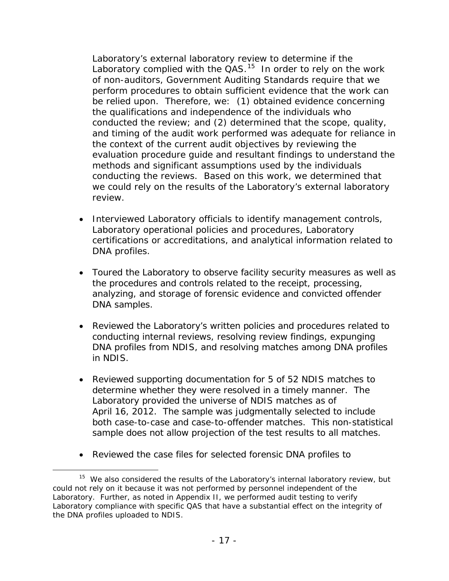be relied upon. Therefore, we: (1) obtained evidence concerning conducted the review; and (2) determined that the scope, quality, the context of the current audit objectives by reviewing the Laboratory's external laboratory review to determine if the Laboratory complied with the  $QAS$ .<sup>15</sup> In order to rely on the work of non-auditors, Government Auditing Standards require that we perform procedures to obtain sufficient evidence that the work can the qualifications and independence of the individuals who and timing of the audit work performed was adequate for reliance in evaluation procedure guide and resultant findings to understand the methods and significant assumptions used by the individuals conducting the reviews. Based on this work, we determined that we could rely on the results of the Laboratory's external laboratory review.

- Interviewed Laboratory officials to identify management controls, Laboratory operational policies and procedures, Laboratory certifications or accreditations, and analytical information related to DNA profiles.
- analyzing, and storage of forensic evidence and convicted offender • Toured the Laboratory to observe facility security measures as well as the procedures and controls related to the receipt, processing, DNA samples.
- Reviewed the Laboratory's written policies and procedures related to conducting internal reviews, resolving review findings, expunging DNA profiles from NDIS, and resolving matches among DNA profiles in NDIS.
- determine whether they were resolved in a timely manner. The April 16, 2012. The sample was judgmentally selected to include both case-to-case and case-to-offender matches. This non-statistical • Reviewed supporting documentation for 5 of 52 NDIS matches to Laboratory provided the universe of NDIS matches as of sample does not allow projection of the test results to all matches.
- Reviewed the case files for selected forensic DNA profiles to

<span id="page-21-0"></span> $\overline{a}$ <sup>15</sup> We also considered the results of the Laboratory's internal laboratory review, but could not rely on it because it was not performed by personnel independent of the Laboratory. Further, as noted in Appendix II, we performed audit testing to verify Laboratory compliance with specific QAS that have a substantial effect on the integrity of the DNA profiles uploaded to NDIS.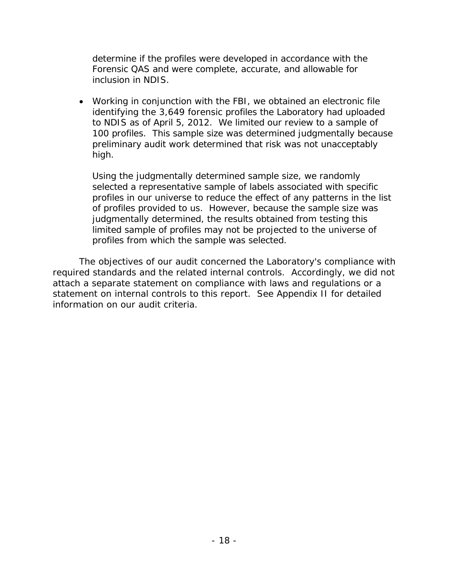determine if the profiles were developed in accordance with the Forensic QAS and were complete, accurate, and allowable for inclusion in NDIS.

 identifying the 3,649 forensic profiles the Laboratory had uploaded to NDIS as of April 5, 2012. We limited our review to a sample of • Working in conjunction with the FBI, we obtained an electronic file 100 profiles. This sample size was determined judgmentally because preliminary audit work determined that risk was not unacceptably high.

 Using the judgmentally determined sample size, we randomly limited sample of profiles may not be projected to the universe of profiles from which the sample was selected. selected a representative sample of labels associated with specific profiles in our universe to reduce the effect of any patterns in the list of profiles provided to us. However, because the sample size was judgmentally determined, the results obtained from testing this

information on our audit criteria. The objectives of our audit concerned the Laboratory's compliance with required standards and the related internal controls. Accordingly, we did not attach a separate statement on compliance with laws and regulations or a statement on internal controls to this report. See Appendix II for detailed information on our audit criteria.<br>-<br>-<br>- 18<br>-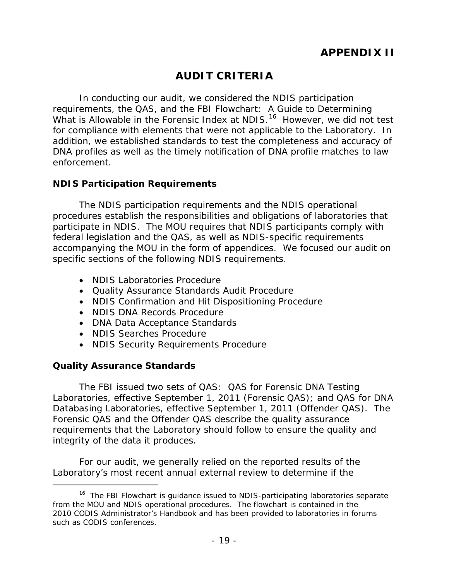# **AUDIT CRITERIA**

<span id="page-23-0"></span> requirements, the QAS, and the FBI Flowchart: A Guide to Determining What is Allowable in the Forensic Index at NDIS.<sup>[16](#page-23-3)</sup> However, we did not test enforcement. In conducting our audit, we considered the NDIS participation for compliance with elements that were not applicable to the Laboratory. In addition, we established standards to test the completeness and accuracy of DNA profiles as well as the timely notification of DNA profile matches to law

#### <span id="page-23-1"></span>**NDIS Participation Requirements**

 accompanying the MOU in the form of appendices. We focused our audit on specific sections of the following NDIS requirements. The NDIS participation requirements and the NDIS operational procedures establish the responsibilities and obligations of laboratories that participate in NDIS. The MOU requires that NDIS participants comply with federal legislation and the QAS, as well as NDIS-specific requirements

- NDIS Laboratories Procedure
- Quality Assurance Standards Audit Procedure
- NDIS Confirmation and Hit Dispositioning Procedure
- NDIS DNA Records Procedure
- DNA Data Acceptance Standards
- NDIS Searches Procedure
- NDIS Security Requirements Procedure

## <span id="page-23-2"></span>**Quality Assurance Standards**

-

 Laboratories, effective September 1, 2011 (Forensic QAS); and QAS for DNA Databasing Laboratories, effective September 1, 2011 (Offender QAS). The integrity of the data it produces. The FBI issued two sets of QAS: QAS for Forensic DNA Testing Forensic QAS and the Offender QAS describe the quality assurance requirements that the Laboratory should follow to ensure the quality and

For our audit, we generally relied on the reported results of the Laboratory's most recent annual external review to determine if the

<span id="page-23-3"></span><sup>&</sup>lt;sup>16</sup> The FBI Flowchart is guidance issued to NDIS-participating laboratories separate from the MOU and NDIS operational procedures. The flowchart is contained in the 2010 CODIS Administrator's Handbook and has been provided to laboratories in forums such as CODIS conferences.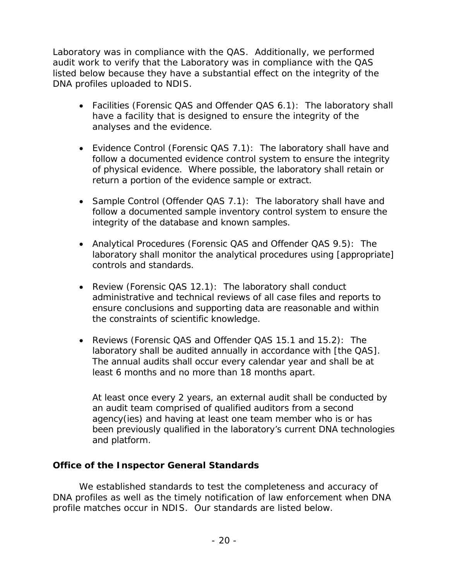Laboratory was in compliance with the QAS. Additionally, we performed audit work to verify that the Laboratory was in compliance with the QAS listed below because they have a substantial effect on the integrity of the DNA profiles uploaded to NDIS.

- Facilities (Forensic QAS and Offender QAS 6.1): The laboratory shall have a facility that is designed to ensure the integrity of the analyses and the evidence.
- of physical evidence. Where possible, the laboratory shall retain or return a portion of the evidence sample or extract. • Evidence Control (Forensic QAS 7.1): The laboratory shall have and follow a documented evidence control system to ensure the integrity
- follow a documented sample inventory control system to ensure the • Sample Control (Offender QAS 7.1): The laboratory shall have and integrity of the database and known samples.
- controls and standards. • Analytical Procedures (Forensic QAS and Offender QAS 9.5): The laboratory shall monitor the analytical procedures using [appropriate]
- Review (Forensic QAS 12.1): The laboratory shall conduct administrative and technical reviews of all case files and reports to ensure conclusions and supporting data are reasonable and within the constraints of scientific knowledge.
- Reviews (Forensic QAS and Offender QAS 15.1 and 15.2): The laboratory shall be audited annually in accordance with [the QAS]. The annual audits shall occur every calendar year and shall be at least 6 months and no more than 18 months apart.

 At least once every 2 years, an external audit shall be conducted by an audit team comprised of qualified auditors from a second agency(ies) and having at least one team member who is or has been previously qualified in the laboratory's current DNA technologies and platform.

#### <span id="page-24-0"></span>**Office of the Inspector General Standards**

We established standards to test the completeness and accuracy of DNA profiles as well as the timely notification of law enforcement when DNA profile matches occur in NDIS. Our standards are listed below.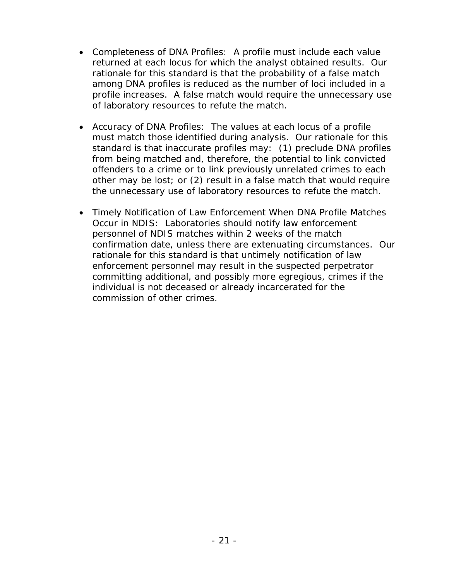- Completeness of DNA Profiles: A profile must include each value rationale for this standard is that the probability of a false match returned at each locus for which the analyst obtained results. Our among DNA profiles is reduced as the number of loci included in a profile increases. A false match would require the unnecessary use of laboratory resources to refute the match.
- standard is that inaccurate profiles may: (1) preclude DNA profiles • Accuracy of DNA Profiles: The values at each locus of a profile must match those identified during analysis. Our rationale for this from being matched and, therefore, the potential to link convicted offenders to a crime or to link previously unrelated crimes to each other may be lost; or (2) result in a false match that would require the unnecessary use of laboratory resources to refute the match.
- Timely Notification of Law Enforcement When DNA Profile Matches Occur in NDIS: Laboratories should notify law enforcement committing additional, and possibly more egregious, crimes if the personnel of NDIS matches within 2 weeks of the match confirmation date, unless there are extenuating circumstances. Our rationale for this standard is that untimely notification of law enforcement personnel may result in the suspected perpetrator individual is not deceased or already incarcerated for the commission of other crimes.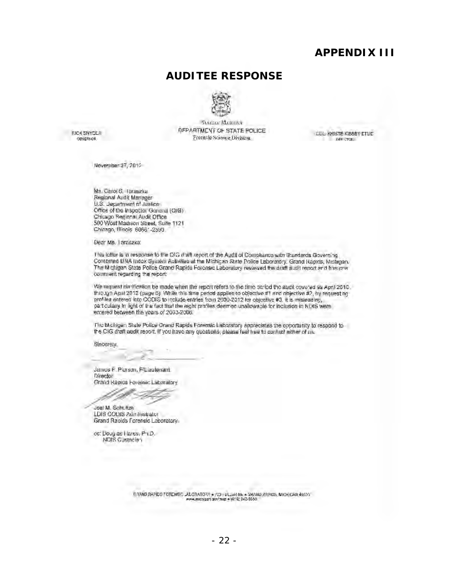#### **APPENDIX III**

#### **AUDITEE RESPONSE**



SIACCO MARICAN DEPARTMENT OF STATE POLICE Fotensie Science Division.

<span id="page-26-0"></span>**RICK SNYCLR** GOVERNOR.

CUL KNISTE KIBBEY ETUC Diff CTOR

November 27, 2012

Ms. Carol S, Taraszka Ms, Carol S, Taraszka<br>Regional Audit Manager<br>U.S. Jepartment nf Justice Office of the Inspector General (QIG).<br>Chicago Regional Audit Office 500 Wost Madison Sheet, Suite 1121 Chicago, Illinois: 60661-2590

Dear Ms. Taraszka:

I his lotter is in response to the CIC draft report of the Audit of Compliance with Granderds Governing.<br>Compilted DNA Indox System Activities at the Michigan State Police Laboratory, Grand Rapids, Michigan. The Michigan State Police Grand Rapids Forensic Laboratory reviewed the draft audit report and fres one. I his letter is in response to the CIC *d*raft report of the Audit of Compliance with Granderds Governing<br>Compired BNA Indox System Activities at the Michigan State Police Laboratory, Grand Rapids, Michigan.<br>The Michigan S comment regarding the report:

We request diarification be made when the report refers to the fime period the audit covered as April 2010. 1hrough Apul 2012 (page 6). While this time period applies to objective #1 and objective #2, by requesting profiles entered into CODIS to include entries from 2000-2012 for objective #3, it is imisleading,<br>particularly in light of the fact that the eight profiles deemed unallowable for inclusion in NDIS were entered between the years of 2003-2006.

n' e Mchigan State Police Grand Rapids Forensic Laboratory appreciates the opportunity to respond to<br>Ihe CIG draft audit report. If you have any questions, please feel thee to contact aither of ns. ด เธ.

Sincerety,

Janues F. Plurson, F/Lieutenant Director Grand Rapids Forensic Laboratory

-----:-/~

 $\sim$   $\sim$   $\sim$   $\sim$   $\sim$   $\sim$ 

Joel M. Schultze LDIS CODIS Administrator<br>Grand Raoids Forensid Laboratory

oc: Doug as Hares, Ph.D. NDIS Gustacian

> .<br>- المساوا الثاني + 2×2014/2014, 2021/12/2015<br>- 10° + persimal primary and the particular form of the MAT .<br>Luak NE \* 9HANO RAPIOS, MICH CAN 48503<br>\* 16:6: 342.5550